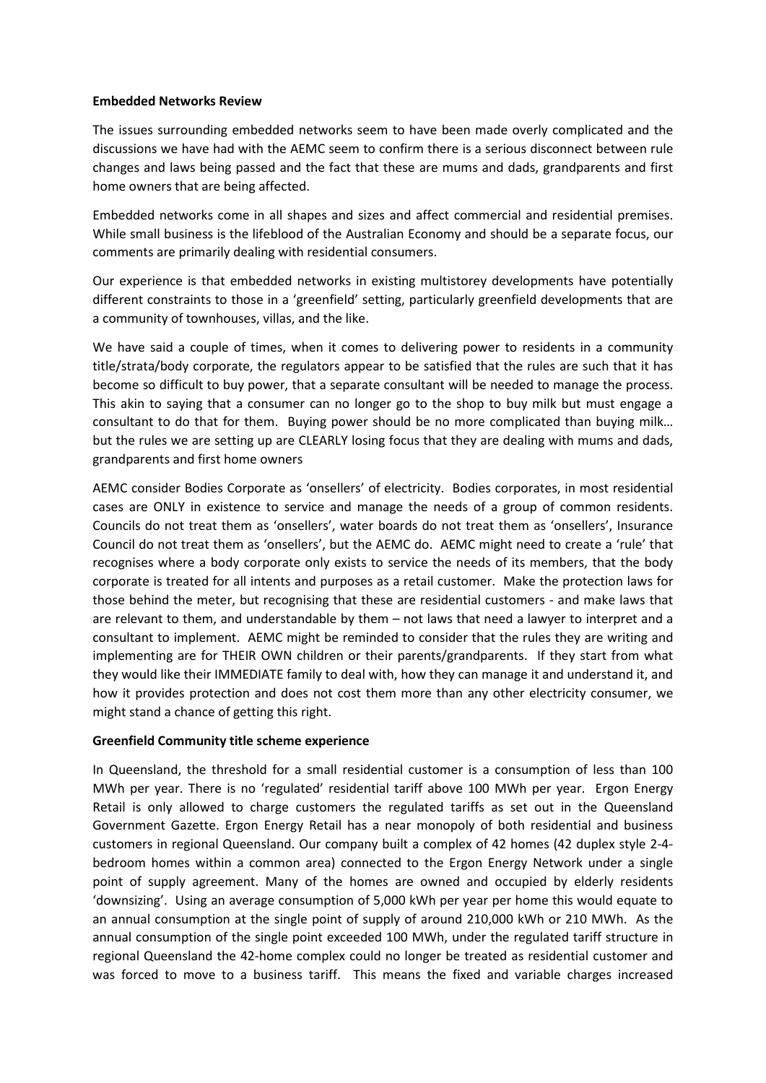## **Embedded Networks Review**

The issues surrounding embedded networks seem to have been made overly complicated and the discussions we have had with the AEMC seem to confirm there is a serious disconnect between rule changes and laws being passed and the fact that these are mums and dads, grandparents and first home owners that are being affected.

Embedded networks come in all shapes and sizes and affect commercial and residential premises. While small business is the lifeblood of the Australian Economy and should be a separate focus, our comments are primarily dealing with residential consumers.

Our experience is that embedded networks in existing multistorey developments have potentially different constraints to those in a 'greenfield' setting, particularly greenfield developments that are a community of townhouses, villas, and the like.

We have said a couple of times, when it comes to delivering power to residents in a community title/strata/body corporate, the regulators appear to be satisfied that the rules are such that it has become so difficult to buy power, that a separate consultant will be needed to manage the process. This akin to saying that a consumer can no longer go to the shop to buy milk but must engage a consultant to do that for them. Buying power should be no more complicated than buying milk… but the rules we are setting up are CLEARLY losing focus that they are dealing with mums and dads, grandparents and first home owners

AEMC consider Bodies Corporate as 'onsellers' of electricity. Bodies corporates, in most residential cases are ONLY in existence to service and manage the needs of a group of common residents. Councils do not treat them as 'onsellers', water boards do not treat them as 'onsellers', Insurance Council do not treat them as 'onsellers', but the AEMC do. AEMC might need to create a 'rule' that recognises where a body corporate only exists to service the needs of its members, that the body corporate is treated for all intents and purposes as a retail customer. Make the protection laws for those behind the meter, but recognising that these are residential customers - and make laws that are relevant to them, and understandable by them – not laws that need a lawyer to interpret and a consultant to implement. AEMC might be reminded to consider that the rules they are writing and implementing are for THEIR OWN children or their parents/grandparents. If they start from what they would like their IMMEDIATE family to deal with, how they can manage it and understand it, and how it provides protection and does not cost them more than any other electricity consumer, we might stand a chance of getting this right.

## **Greenfield Community title scheme experience**

In Queensland, the threshold for a small residential customer is a consumption of less than 100 MWh per year. There is no 'regulated' residential tariff above 100 MWh per year. Ergon Energy Retail is only allowed to charge customers the regulated tariffs as set out in the Queensland Government Gazette. Ergon Energy Retail has a near monopoly of both residential and business customers in regional Queensland. Our company built a complex of 42 homes (42 duplex style 2-4 bedroom homes within a common area) connected to the Ergon Energy Network under a single point of supply agreement. Many of the homes are owned and occupied by elderly residents 'downsizing'. Using an average consumption of 5,000 kWh per year per home this would equate to an annual consumption at the single point of supply of around 210,000 kWh or 210 MWh. As the annual consumption of the single point exceeded 100 MWh, under the regulated tariff structure in regional Queensland the 42-home complex could no longer be treated as residential customer and was forced to move to a business tariff. This means the fixed and variable charges increased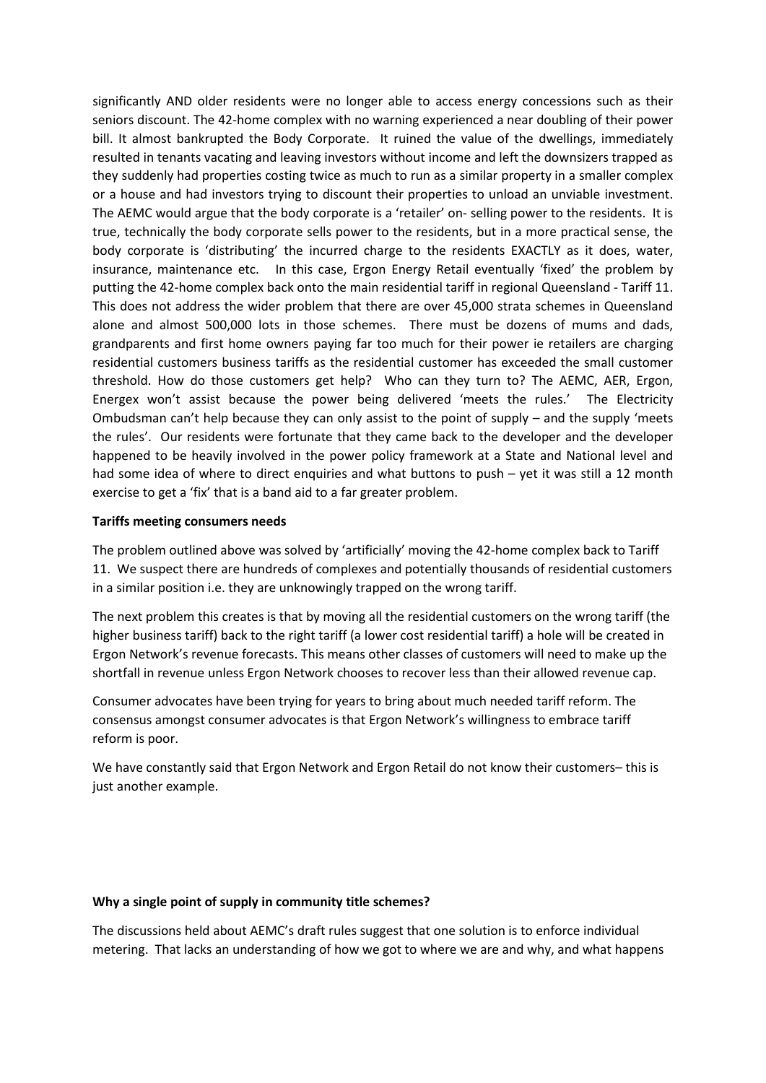significantly AND older residents were no longer able to access energy concessions such as their seniors discount. The 42-home complex with no warning experienced a near doubling of their power bill. It almost bankrupted the Body Corporate. It ruined the value of the dwellings, immediately resulted in tenants vacating and leaving investors without income and left the downsizers trapped as they suddenly had properties costing twice as much to run as a similar property in a smaller complex or a house and had investors trying to discount their properties to unload an unviable investment. The AEMC would argue that the body corporate is a 'retailer' on- selling power to the residents. It is true, technically the body corporate sells power to the residents, but in a more practical sense, the body corporate is 'distributing' the incurred charge to the residents EXACTLY as it does, water, insurance, maintenance etc. In this case, Ergon Energy Retail eventually 'fixed' the problem by putting the 42-home complex back onto the main residential tariff in regional Queensland - Tariff 11. This does not address the wider problem that there are over 45,000 strata schemes in Queensland alone and almost 500,000 lots in those schemes. There must be dozens of mums and dads, grandparents and first home owners paying far too much for their power ie retailers are charging residential customers business tariffs as the residential customer has exceeded the small customer threshold. How do those customers get help? Who can they turn to? The AEMC, AER, Ergon, Energex won't assist because the power being delivered 'meets the rules.' The Electricity Ombudsman can't help because they can only assist to the point of supply – and the supply 'meets the rules'. Our residents were fortunate that they came back to the developer and the developer happened to be heavily involved in the power policy framework at a State and National level and had some idea of where to direct enquiries and what buttons to push – yet it was still a 12 month exercise to get a 'fix' that is a band aid to a far greater problem.

## **Tariffs meeting consumers needs**

The problem outlined above was solved by 'artificially' moving the 42-home complex back to Tariff 11. We suspect there are hundreds of complexes and potentially thousands of residential customers in a similar position i.e. they are unknowingly trapped on the wrong tariff.

The next problem this creates is that by moving all the residential customers on the wrong tariff (the higher business tariff) back to the right tariff (a lower cost residential tariff) a hole will be created in Ergon Network's revenue forecasts. This means other classes of customers will need to make up the shortfall in revenue unless Ergon Network chooses to recover less than their allowed revenue cap.

Consumer advocates have been trying for years to bring about much needed tariff reform. The consensus amongst consumer advocates is that Ergon Network's willingness to embrace tariff reform is poor.

We have constantly said that Ergon Network and Ergon Retail do not know their customers– this is just another example.

## **Why a single point of supply in community title schemes?**

The discussions held about AEMC's draft rules suggest that one solution is to enforce individual metering. That lacks an understanding of how we got to where we are and why, and what happens